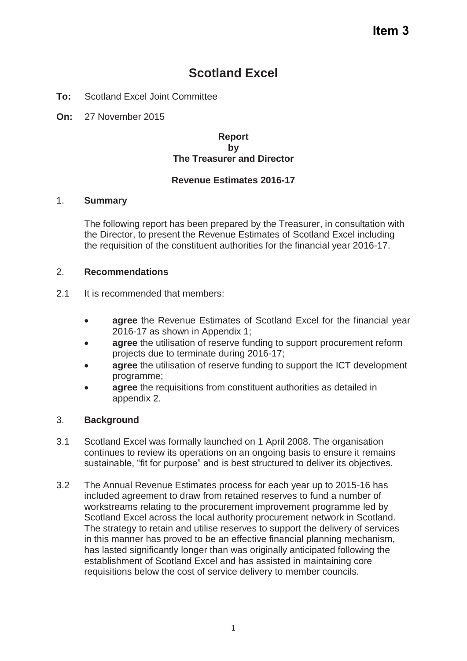# **Scotland Excel**

- **To:** Scotland Excel Joint Committee
- **On:** 27 November 2015

#### **Report by The Treasurer and Director**

### **Revenue Estimates 2016-17**

#### 1. **Summary**

The following report has been prepared by the Treasurer, in consultation with the Director, to present the Revenue Estimates of Scotland Excel including the requisition of the constituent authorities for the financial year 2016-17.

#### 2. **Recommendations**

- 2.1 It is recommended that members:
	- **agree** the Revenue Estimates of Scotland Excel for the financial year 2016-17 as shown in Appendix 1;
	- **agree** the utilisation of reserve funding to support procurement reform projects due to terminate during 2016-17;
	- agree the utilisation of reserve funding to support the ICT development programme;
	- **agree** the requisitions from constituent authorities as detailed in appendix 2.

### 3. **Background**

- 3.1 Scotland Excel was formally launched on 1 April 2008. The organisation continues to review its operations on an ongoing basis to ensure it remains sustainable, "fit for purpose" and is best structured to deliver its objectives.
- 3.2 The Annual Revenue Estimates process for each year up to 2015-16 has included agreement to draw from retained reserves to fund a number of workstreams relating to the procurement improvement programme led by Scotland Excel across the local authority procurement network in Scotland. The strategy to retain and utilise reserves to support the delivery of services in this manner has proved to be an effective financial planning mechanism, has lasted significantly longer than was originally anticipated following the establishment of Scotland Excel and has assisted in maintaining core requisitions below the cost of service delivery to member councils.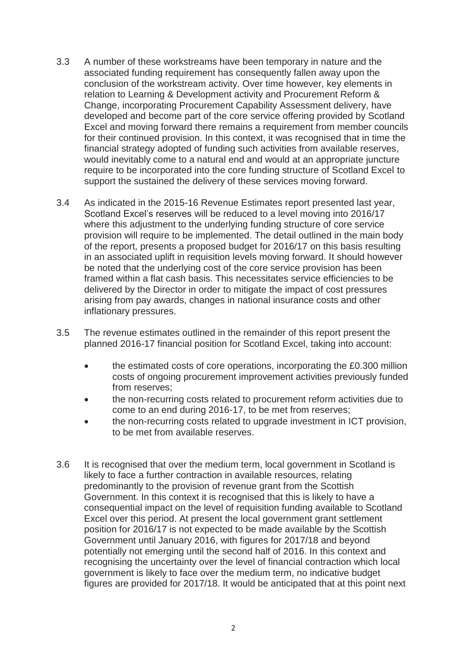- 3.3 A number of these workstreams have been temporary in nature and the associated funding requirement has consequently fallen away upon the conclusion of the workstream activity. Over time however, key elements in relation to Learning & Development activity and Procurement Reform & Change, incorporating Procurement Capability Assessment delivery, have developed and become part of the core service offering provided by Scotland Excel and moving forward there remains a requirement from member councils for their continued provision. In this context, it was recognised that in time the financial strategy adopted of funding such activities from available reserves, would inevitably come to a natural end and would at an appropriate juncture require to be incorporated into the core funding structure of Scotland Excel to support the sustained the delivery of these services moving forward.
- 3.4 As indicated in the 2015-16 Revenue Estimates report presented last year, Scotland Excel's reserves will be reduced to a level moving into 2016/17 where this adjustment to the underlying funding structure of core service provision will require to be implemented. The detail outlined in the main body of the report, presents a proposed budget for 2016/17 on this basis resulting in an associated uplift in requisition levels moving forward. It should however be noted that the underlying cost of the core service provision has been framed within a flat cash basis. This necessitates service efficiencies to be delivered by the Director in order to mitigate the impact of cost pressures arising from pay awards, changes in national insurance costs and other inflationary pressures.
- 3.5 The revenue estimates outlined in the remainder of this report present the planned 2016-17 financial position for Scotland Excel, taking into account:
	- the estimated costs of core operations, incorporating the £0.300 million costs of ongoing procurement improvement activities previously funded from reserves;
	- the non-recurring costs related to procurement reform activities due to come to an end during 2016-17, to be met from reserves;
	- the non-recurring costs related to upgrade investment in ICT provision. to be met from available reserves.
- 3.6 It is recognised that over the medium term, local government in Scotland is likely to face a further contraction in available resources, relating predominantly to the provision of revenue grant from the Scottish Government. In this context it is recognised that this is likely to have a consequential impact on the level of requisition funding available to Scotland Excel over this period. At present the local government grant settlement position for 2016/17 is not expected to be made available by the Scottish Government until January 2016, with figures for 2017/18 and beyond potentially not emerging until the second half of 2016. In this context and recognising the uncertainty over the level of financial contraction which local government is likely to face over the medium term, no indicative budget figures are provided for 2017/18. It would be anticipated that at this point next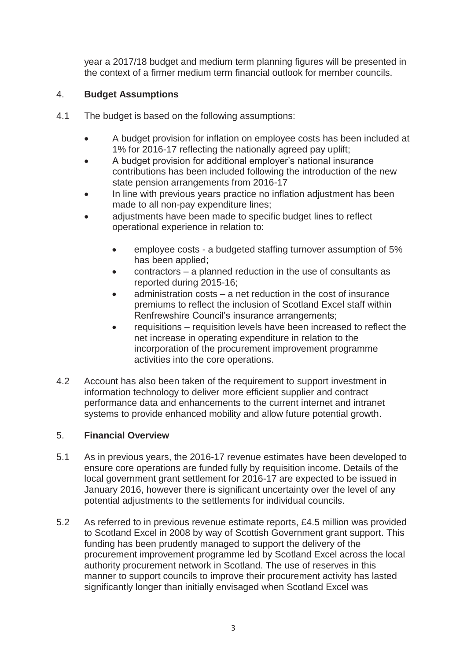year a 2017/18 budget and medium term planning figures will be presented in the context of a firmer medium term financial outlook for member councils.

# 4. **Budget Assumptions**

- 4.1 The budget is based on the following assumptions:
	- A budget provision for inflation on employee costs has been included at 1% for 2016-17 reflecting the nationally agreed pay uplift;
	- A budget provision for additional employer's national insurance contributions has been included following the introduction of the new state pension arrangements from 2016-17
	- In line with previous years practice no inflation adjustment has been made to all non-pay expenditure lines;
	- adjustments have been made to specific budget lines to reflect operational experience in relation to:
		- employee costs a budgeted staffing turnover assumption of 5% has been applied;
		- $\bullet$  contractors a planned reduction in the use of consultants as reported during 2015-16;
		- administration costs a net reduction in the cost of insurance premiums to reflect the inclusion of Scotland Excel staff within Renfrewshire Council's insurance arrangements;
		- $\bullet$  requisitions requisition levels have been increased to reflect the net increase in operating expenditure in relation to the incorporation of the procurement improvement programme activities into the core operations.
- 4.2 Account has also been taken of the requirement to support investment in information technology to deliver more efficient supplier and contract performance data and enhancements to the current internet and intranet systems to provide enhanced mobility and allow future potential growth.

## 5. **Financial Overview**

- 5.1 As in previous years, the 2016-17 revenue estimates have been developed to ensure core operations are funded fully by requisition income. Details of the local government grant settlement for 2016-17 are expected to be issued in January 2016, however there is significant uncertainty over the level of any potential adjustments to the settlements for individual councils.
- 5.2 As referred to in previous revenue estimate reports, £4.5 million was provided to Scotland Excel in 2008 by way of Scottish Government grant support. This funding has been prudently managed to support the delivery of the procurement improvement programme led by Scotland Excel across the local authority procurement network in Scotland. The use of reserves in this manner to support councils to improve their procurement activity has lasted significantly longer than initially envisaged when Scotland Excel was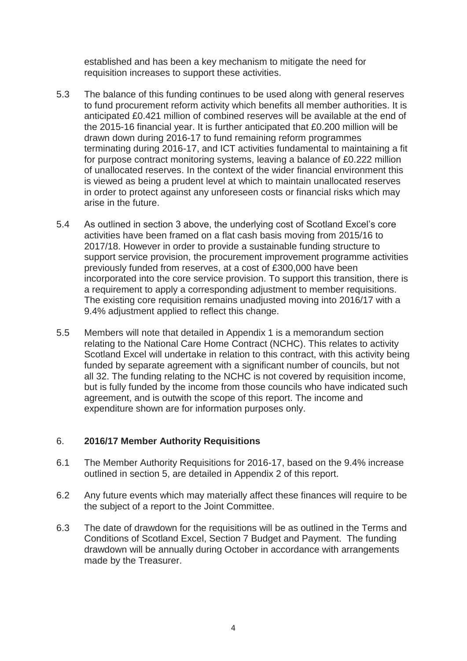established and has been a key mechanism to mitigate the need for requisition increases to support these activities.

- 5.3 The balance of this funding continues to be used along with general reserves to fund procurement reform activity which benefits all member authorities. It is anticipated £0.421 million of combined reserves will be available at the end of the 2015-16 financial year. It is further anticipated that £0.200 million will be drawn down during 2016-17 to fund remaining reform programmes terminating during 2016-17, and ICT activities fundamental to maintaining a fit for purpose contract monitoring systems, leaving a balance of £0.222 million of unallocated reserves. In the context of the wider financial environment this is viewed as being a prudent level at which to maintain unallocated reserves in order to protect against any unforeseen costs or financial risks which may arise in the future.
- 5.4 As outlined in section 3 above, the underlying cost of Scotland Excel's core activities have been framed on a flat cash basis moving from 2015/16 to 2017/18. However in order to provide a sustainable funding structure to support service provision, the procurement improvement programme activities previously funded from reserves, at a cost of £300,000 have been incorporated into the core service provision. To support this transition, there is a requirement to apply a corresponding adjustment to member requisitions. The existing core requisition remains unadjusted moving into 2016/17 with a 9.4% adjustment applied to reflect this change.
- 5.5 Members will note that detailed in Appendix 1 is a memorandum section relating to the National Care Home Contract (NCHC). This relates to activity Scotland Excel will undertake in relation to this contract, with this activity being funded by separate agreement with a significant number of councils, but not all 32. The funding relating to the NCHC is not covered by requisition income, but is fully funded by the income from those councils who have indicated such agreement, and is outwith the scope of this report. The income and expenditure shown are for information purposes only.

### 6. **2016/17 Member Authority Requisitions**

- 6.1 The Member Authority Requisitions for 2016-17, based on the 9.4% increase outlined in section 5, are detailed in Appendix 2 of this report.
- 6.2 Any future events which may materially affect these finances will require to be the subject of a report to the Joint Committee.
- 6.3 The date of drawdown for the requisitions will be as outlined in the Terms and Conditions of Scotland Excel, Section 7 Budget and Payment. The funding drawdown will be annually during October in accordance with arrangements made by the Treasurer.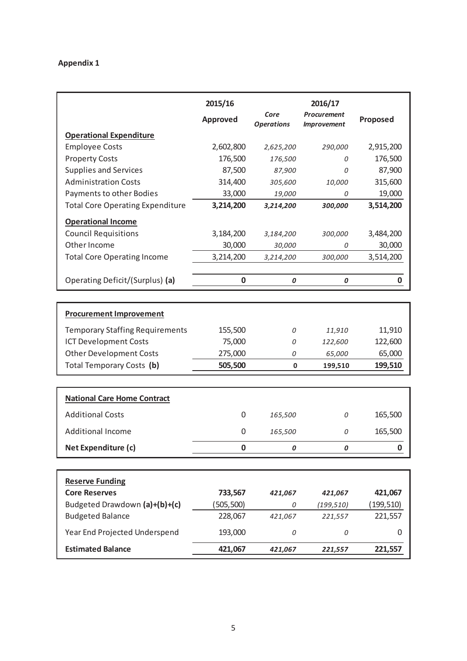### **Appendix 1**

|                                                | 2015/16<br><b>Approved</b> | Core<br><b>Operations</b> | 2016/17<br><b>Procurement</b><br><b>Improvement</b> | Proposed         |
|------------------------------------------------|----------------------------|---------------------------|-----------------------------------------------------|------------------|
| <b>Operational Expenditure</b>                 |                            |                           |                                                     |                  |
| <b>Employee Costs</b>                          | 2,602,800                  | 2,625,200                 | 290,000                                             | 2,915,200        |
| <b>Property Costs</b>                          | 176,500                    | 176,500                   | 0                                                   | 176,500          |
| <b>Supplies and Services</b>                   | 87,500                     | 87,900                    | 0                                                   | 87,900           |
| <b>Administration Costs</b>                    | 314,400                    | 305,600                   | 10,000                                              | 315,600          |
| Payments to other Bodies                       | 33,000                     | 19,000                    | 0                                                   | 19,000           |
| <b>Total Core Operating Expenditure</b>        | 3,214,200                  | 3,214,200                 | 300,000                                             | 3,514,200        |
| <b>Operational Income</b>                      |                            |                           |                                                     |                  |
| <b>Council Requisitions</b>                    | 3,184,200                  | 3,184,200                 | 300,000                                             | 3,484,200        |
| Other Income                                   | 30,000                     | 30,000                    | 0                                                   | 30,000           |
| <b>Total Core Operating Income</b>             | 3,214,200                  | 3,214,200                 | 300,000                                             | 3,514,200        |
|                                                |                            |                           |                                                     |                  |
| Operating Deficit/(Surplus) (a)                | $\bf{0}$                   | 0                         | 0                                                   | $\boldsymbol{0}$ |
|                                                |                            |                           |                                                     |                  |
| <b>Procurement Improvement</b>                 |                            |                           |                                                     |                  |
| <b>Temporary Staffing Requirements</b>         | 155,500                    | 0                         | 11,910                                              | 11,910           |
| <b>ICT Development Costs</b>                   | 75,000                     | 0                         | 122,600                                             | 122,600          |
| <b>Other Development Costs</b>                 | 275,000                    | 0                         | 65,000                                              | 65,000           |
| Total Temporary Costs (b)                      | 505,500                    | $\mathbf 0$               | 199,510                                             |                  |
|                                                |                            |                           |                                                     | 199,510          |
|                                                |                            |                           |                                                     |                  |
| <b>National Care Home Contract</b>             |                            |                           |                                                     |                  |
| <b>Additional Costs</b>                        | 0                          | 165,500                   | 0                                                   | 165,500          |
| <b>Additional Income</b>                       | 0                          | 165,500                   | 0                                                   | 165,500          |
| Net Expenditure (c)                            | 0                          | 0                         | 0                                                   | 0                |
|                                                |                            |                           |                                                     |                  |
|                                                |                            |                           |                                                     |                  |
| <b>Reserve Funding</b><br><b>Core Reserves</b> | 733,567                    | 421,067                   | 421,067                                             | 421,067          |
| Budgeted Drawdown (a)+(b)+(c)                  | (505, 500)                 | 0                         | (199, 510)                                          | (199, 510)       |
| <b>Budgeted Balance</b>                        | 228,067                    | 421,067                   | 221,557                                             | 221,557          |
| Year End Projected Underspend                  | 193,000                    | 0                         | 0                                                   | 0                |